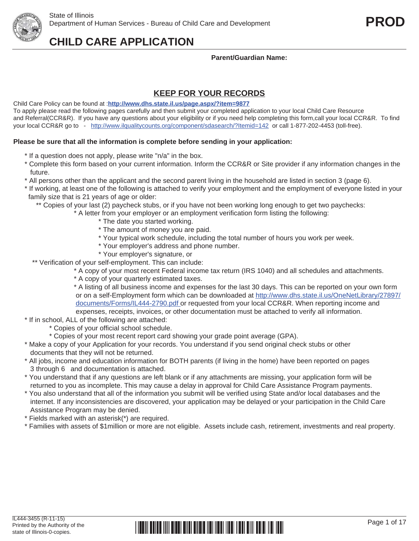## **Parent/Guardian Name:**

# **KEEP FOR YOUR RECORDS**

Child Care Policy can be found at :**http://www.dhs.state.il.us/page.aspx/?item=9877** To apply please read the following pages carefully and then submit your completed application to your local Child Care Resource and Referral(CCR&R). If you have any questions about your eligibility or if you need help completing this form,call your local CCR&R. To find your local CCR&R go to - http://www.ilqualitycounts.org/component/sdasearch/?Itemid=142 or call 1-877-202-4453 (toll-free).

## **Please be sure that all the information is complete before sending in your application:**

- \* If a question does not apply, please write "n/a" in the box.
- \* Complete this form based on your current information. Inform the CCR&R or Site provider if any information changes in the future.
- \* All persons other than the applicant and the second parent living in the household are listed in section 3 (page 6).
- \* If working, at least one of the following is attached to verify your employment and the employment of everyone listed in your family size that is 21 years of age or older:
	- \*\* Copies of your last (2) paycheck stubs, or if you have not been working long enough to get two paychecks:
		- \* A letter from your employer or an employment verification form listing the following:
			- \* The date you started working.
			- \* The amount of money you are paid.
			- \* Your typical work schedule, including the total number of hours you work per week.
			- \* Your employer's address and phone number.
			- \* Your employer's signature, or
	- \*\* Verification of your self-employment. This can include:
		- \* A copy of your most recent Federal income tax return (IRS 1040) and all schedules and attachments.
		- \* A copy of your quarterly estimated taxes.

 \* A listing of all business income and expenses for the last 30 days. This can be reported on your own form or on a self-Employment form which can be downloaded at http://www.dhs.state.il.us/OneNetLibrary/27897/ documents/Forms/IL444-2790.pdf or requested from your local CCR&R. When reporting income and expenses, receipts, invoices, or other documentation must be attached to verify all information.

- \* If in school, ALL of the following are attached:
	- \* Copies of your official school schedule.
	- \* Copies of your most recent report card showing your grade point average (GPA).
- \* Make a copy of your Application for your records. You understand if you send original check stubs or other documents that they will not be returned.
- \* All jobs, income and education information for BOTH parents (if living in the home) have been reported on pages 3 through 6 and documentation is attached.
- \* You understand that if any questions are left blank or if any attachments are missing, your application form will be returned to you as incomplete. This may cause a delay in approval for Child Care Assistance Program payments.
- \* You also understand that all of the information you submit will be verified using State and/or local databases and the internet. If any inconsistencies are discovered, your application may be delayed or your participation in the Child Care Assistance Program may be denied.
- \* Fields marked with an asterisk(\*) are required.
- \* Families with assets of \$1million or more are not eligible. Assets include cash, retirement, investments and real property.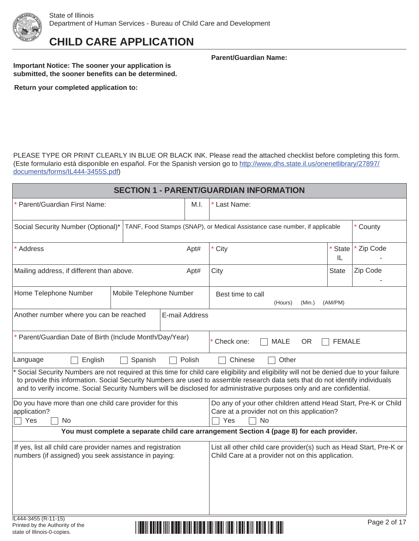

**Important Notice: The sooner your application is submitted, the sooner benefits can be determined.** **Parent/Guardian Name:**

**Return your completed application to:**

PLEASE TYPE OR PRINT CLEARLY IN BLUE OR BLACK INK. Please read the attached checklist before completing this form. (Este formulario está disponible en español. For the Spanish version go to http://www.dhs.state.il.us/onenetlibrary/27897/ documents/forms/IL444-3455S.pdf)

| <b>SECTION 1 - PARENT/GUARDIAN INFORMATION</b>                                                                                                                                                                                                 |                         |                |                                                                                                                                                                                                                                                                                                                                                                                                      |                    |              |  |  |  |  |  |
|------------------------------------------------------------------------------------------------------------------------------------------------------------------------------------------------------------------------------------------------|-------------------------|----------------|------------------------------------------------------------------------------------------------------------------------------------------------------------------------------------------------------------------------------------------------------------------------------------------------------------------------------------------------------------------------------------------------------|--------------------|--------------|--|--|--|--|--|
| * Parent/Guardian First Name:                                                                                                                                                                                                                  |                         | M.I.           | * Last Name:                                                                                                                                                                                                                                                                                                                                                                                         |                    |              |  |  |  |  |  |
| Social Security Number (Optional)*                                                                                                                                                                                                             |                         |                | TANF, Food Stamps (SNAP), or Medical Assistance case number, if applicable                                                                                                                                                                                                                                                                                                                           |                    | * County     |  |  |  |  |  |
| * Address                                                                                                                                                                                                                                      |                         | Apt#           | * City                                                                                                                                                                                                                                                                                                                                                                                               | <b>State</b><br>IL | * Zip Code   |  |  |  |  |  |
| Mailing address, if different than above.                                                                                                                                                                                                      |                         | Apt#           | City                                                                                                                                                                                                                                                                                                                                                                                                 | State              | Zip Code     |  |  |  |  |  |
| Home Telephone Number                                                                                                                                                                                                                          | Mobile Telephone Number |                | Best time to call<br>(Hours)<br>(Min.)                                                                                                                                                                                                                                                                                                                                                               | (AM/PM)            |              |  |  |  |  |  |
| Another number where you can be reached                                                                                                                                                                                                        |                         | E-mail Address |                                                                                                                                                                                                                                                                                                                                                                                                      |                    |              |  |  |  |  |  |
| * Parent/Guardian Date of Birth (Include Month/Day/Year)                                                                                                                                                                                       |                         |                | Check one:<br><b>MALE</b><br><b>OR</b>                                                                                                                                                                                                                                                                                                                                                               | <b>FEMALE</b>      |              |  |  |  |  |  |
| English<br>Language                                                                                                                                                                                                                            | Spanish                 | Polish         | Chinese<br>Other                                                                                                                                                                                                                                                                                                                                                                                     |                    |              |  |  |  |  |  |
|                                                                                                                                                                                                                                                |                         |                | * Social Security Numbers are not required at this time for child care eligibility and eligibility will not be denied due to your failure<br>to provide this information. Social Security Numbers are used to assemble research data sets that do not identify individuals<br>and to verify income. Social Security Numbers will be disclosed for administrative purposes only and are confidential. |                    |              |  |  |  |  |  |
| Do you have more than one child care provider for this<br>application?<br>Yes<br>No                                                                                                                                                            |                         |                | Do any of your other children attend Head Start, Pre-K or Child<br>Care at a provider not on this application?<br>Yes<br>No                                                                                                                                                                                                                                                                          |                    |              |  |  |  |  |  |
|                                                                                                                                                                                                                                                |                         |                | You must complete a separate child care arrangement Section 4 (page 8) for each provider.                                                                                                                                                                                                                                                                                                            |                    |              |  |  |  |  |  |
| If yes, list all child care provider names and registration<br>List all other child care provider(s) such as Head Start, Pre-K or<br>numbers (if assigned) you seek assistance in paying:<br>Child Care at a provider not on this application. |                         |                |                                                                                                                                                                                                                                                                                                                                                                                                      |                    |              |  |  |  |  |  |
| IL444-3455 (R-11-15)<br>Printed by the Authority of the<br>state of Illinois-0-copies.                                                                                                                                                         |                         |                |                                                                                                                                                                                                                                                                                                                                                                                                      |                    | Page 2 of 17 |  |  |  |  |  |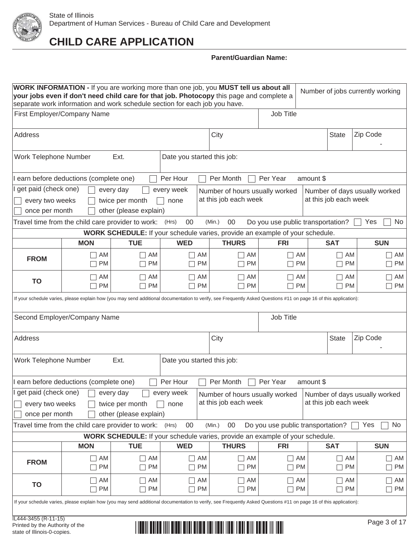

|                                                                                                                    | WORK INFORMATION - If you are working more than one job, you MUST tell us about all<br>Number of jobs currently working<br>your jobs even if don't need child care for that job. Photocopy this page and complete a<br>separate work information and work schedule section for each job you have. |                                                        |                            |                 |                                                                                     |                                           |           |                       |                                                           |  |  |  |
|--------------------------------------------------------------------------------------------------------------------|---------------------------------------------------------------------------------------------------------------------------------------------------------------------------------------------------------------------------------------------------------------------------------------------------|--------------------------------------------------------|----------------------------|-----------------|-------------------------------------------------------------------------------------|-------------------------------------------|-----------|-----------------------|-----------------------------------------------------------|--|--|--|
|                                                                                                                    | First Employer/Company Name                                                                                                                                                                                                                                                                       |                                                        |                            |                 |                                                                                     | Job Title                                 |           |                       |                                                           |  |  |  |
| Address                                                                                                            |                                                                                                                                                                                                                                                                                                   |                                                        |                            |                 | City                                                                                |                                           |           | <b>State</b>          | Zip Code                                                  |  |  |  |
| Work Telephone Number                                                                                              |                                                                                                                                                                                                                                                                                                   | Ext.                                                   | Date you started this job: |                 |                                                                                     |                                           |           |                       |                                                           |  |  |  |
| earn before deductions (complete one)<br>Per Hour<br>Per Month<br>Per Year<br>amount \$                            |                                                                                                                                                                                                                                                                                                   |                                                        |                            |                 |                                                                                     |                                           |           |                       |                                                           |  |  |  |
| get paid (check one)<br>every week<br>every day<br>Number of hours usually worked<br>Number of days usually worked |                                                                                                                                                                                                                                                                                                   |                                                        |                            |                 |                                                                                     |                                           |           |                       |                                                           |  |  |  |
|                                                                                                                    | at this job each week<br>at this job each week<br>twice per month<br>every two weeks<br>none                                                                                                                                                                                                      |                                                        |                            |                 |                                                                                     |                                           |           |                       |                                                           |  |  |  |
| once per month                                                                                                     |                                                                                                                                                                                                                                                                                                   | other (please explain)                                 |                            |                 |                                                                                     |                                           |           |                       |                                                           |  |  |  |
|                                                                                                                    | Travel time from the child care provider to work: (Hrs)                                                                                                                                                                                                                                           |                                                        | 00                         |                 | (Min.)<br>00                                                                        | Do you use public transportation?         |           |                       | No<br>Yes                                                 |  |  |  |
|                                                                                                                    |                                                                                                                                                                                                                                                                                                   |                                                        |                            |                 | WORK SCHEDULE: If your schedule varies, provide an example of your schedule.        |                                           |           |                       |                                                           |  |  |  |
|                                                                                                                    | <b>MON</b>                                                                                                                                                                                                                                                                                        | <b>TUE</b>                                             | <b>WED</b>                 |                 | <b>THURS</b>                                                                        | <b>FRI</b>                                |           | <b>SAT</b>            | <b>SUN</b>                                                |  |  |  |
| <b>FROM</b>                                                                                                        | AM<br><b>PM</b><br>$\mathbf{L}$                                                                                                                                                                                                                                                                   | AM<br><b>PM</b>                                        |                            | AM<br><b>PM</b> | $\Box$ AM<br><b>PM</b><br>$\mathcal{L}$                                             | AM<br><b>PM</b>                           |           | AM<br><b>PM</b>       | AM<br>$\overline{\phantom{a}}$<br><b>PM</b><br>$\Box$     |  |  |  |
| TO                                                                                                                 | AM<br><b>PM</b>                                                                                                                                                                                                                                                                                   | AM<br><b>PM</b>                                        |                            | AM<br><b>PM</b> | AM<br>$\blacksquare$<br><b>PM</b>                                                   | AM<br><b>PM</b>                           |           | AM<br><b>PM</b>       | AM<br>$\vert \ \ \vert$<br><b>PM</b><br>$\vert \ \ \vert$ |  |  |  |
|                                                                                                                    | If your schedule varies, please explain how (you may send additional documentation to verify, see Frequently Asked Questions #11 on page 16 of this application):                                                                                                                                 |                                                        |                            |                 |                                                                                     |                                           |           |                       |                                                           |  |  |  |
|                                                                                                                    | Second Employer/Company Name                                                                                                                                                                                                                                                                      |                                                        |                            |                 |                                                                                     | Job Title                                 |           |                       |                                                           |  |  |  |
| Address                                                                                                            |                                                                                                                                                                                                                                                                                                   |                                                        |                            |                 | City                                                                                |                                           |           | <b>State</b>          | Zip Code                                                  |  |  |  |
| Work Telephone Number                                                                                              |                                                                                                                                                                                                                                                                                                   | Ext.                                                   | Date you started this job: |                 |                                                                                     |                                           |           |                       |                                                           |  |  |  |
|                                                                                                                    | I earn before deductions (complete one)                                                                                                                                                                                                                                                           |                                                        | Per Hour                   |                 | Per Month                                                                           | Per Year                                  | amount \$ |                       |                                                           |  |  |  |
| get paid (check one)<br>every two weeks<br>once per month                                                          |                                                                                                                                                                                                                                                                                                   | every day<br>twice per month<br>other (please explain) | every week<br>none         |                 | Number of hours usually worked<br>at this job each week                             |                                           |           | at this job each week | Number of days usually worked                             |  |  |  |
|                                                                                                                    | Travel time from the child care provider to work:                                                                                                                                                                                                                                                 |                                                        | 00<br>(Hrs)                |                 | (Min.)<br>00                                                                        | Do you use public transportation?         |           |                       | Yes<br>No                                                 |  |  |  |
|                                                                                                                    |                                                                                                                                                                                                                                                                                                   |                                                        |                            |                 | <b>WORK SCHEDULE:</b> If your schedule varies, provide an example of your schedule. |                                           |           |                       |                                                           |  |  |  |
|                                                                                                                    | <b>MON</b>                                                                                                                                                                                                                                                                                        | <b>TUE</b>                                             | <b>WED</b>                 |                 | <b>THURS</b>                                                                        | <b>FRI</b>                                |           | <b>SAT</b>            | <b>SUN</b>                                                |  |  |  |
| <b>FROM</b>                                                                                                        | AM<br>$\Box$<br><b>PM</b><br>$\Box$                                                                                                                                                                                                                                                               | AM<br><b>PM</b>                                        |                            | AM<br><b>PM</b> | $\Box$<br>AM<br><b>PM</b><br>$\mathbf{L}$                                           | AM<br>$\mathbf{L}$<br><b>PM</b><br>$\Box$ |           | AM<br><b>PM</b>       | AM<br>$\Box$<br>PM<br>П                                   |  |  |  |
| <b>TO</b>                                                                                                          | AM<br>AM<br>AM<br>AM<br>AM<br>AM<br>AM<br>$\mathsf{L}$<br>$\Box$<br>PM<br>PM<br>П<br><b>PM</b><br>PM<br><b>PM</b><br><b>PM</b><br>PM<br>П<br>$\Box$<br>$\blacksquare$                                                                                                                             |                                                        |                            |                 |                                                                                     |                                           |           |                       |                                                           |  |  |  |
|                                                                                                                    | If your schedule varies, please explain how (you may send additional documentation to verify, see Frequently Asked Questions #11 on page 16 of this application):                                                                                                                                 |                                                        |                            |                 |                                                                                     |                                           |           |                       |                                                           |  |  |  |
| IL444-3455 (R-11-15)<br>Printed by the Authority of the<br>state of Illinois-0-copies.                             |                                                                                                                                                                                                                                                                                                   |                                                        |                            |                 |                                                                                     |                                           |           |                       | Page 3 of 17                                              |  |  |  |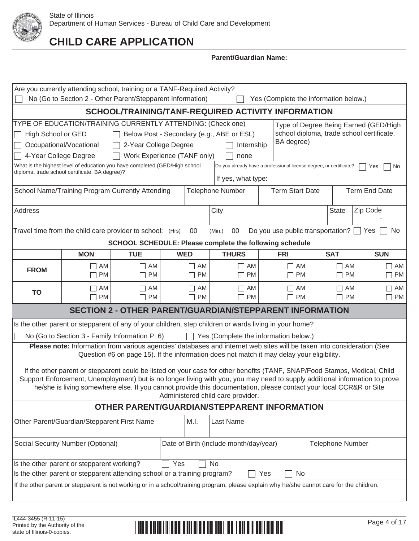

### **Parent/Guardian Name:**

| Are you currently attending school, training or a TANF-Required Activity?<br>No (Go to Section 2 - Other Parent/Stepparent Information)<br>Yes (Complete the information below.)                                                                                                                                                                                     |                                                                                                                                                                                                                                                                                                                                                                                                                                                                                                          |                                                                                           |            |                 |                                       |                 |  |                 |               |  |  |  |
|----------------------------------------------------------------------------------------------------------------------------------------------------------------------------------------------------------------------------------------------------------------------------------------------------------------------------------------------------------------------|----------------------------------------------------------------------------------------------------------------------------------------------------------------------------------------------------------------------------------------------------------------------------------------------------------------------------------------------------------------------------------------------------------------------------------------------------------------------------------------------------------|-------------------------------------------------------------------------------------------|------------|-----------------|---------------------------------------|-----------------|--|-----------------|---------------|--|--|--|
| SCHOOL/TRAINING/TANF-REQUIRED ACTIVITY INFORMATION                                                                                                                                                                                                                                                                                                                   |                                                                                                                                                                                                                                                                                                                                                                                                                                                                                                          |                                                                                           |            |                 |                                       |                 |  |                 |               |  |  |  |
| TYPE OF EDUCATION/TRAINING CURRENTLY ATTENDING: (Check one)<br>Type of Degree Being Earned (GED/High<br>school diploma, trade school certificate,<br>High School or GED<br>Below Post - Secondary (e.g., ABE or ESL)<br>BA degree)<br>Occupational/Vocational<br>2-Year College Degree<br>Internship<br>4-Year College Degree<br>Work Experience (TANF only)<br>none |                                                                                                                                                                                                                                                                                                                                                                                                                                                                                                          |                                                                                           |            |                 |                                       |                 |  |                 |               |  |  |  |
| What is the highest level of education you have completed (GED/High school<br>Do you already have a professional license degree, or certificate?<br>Yes<br>No<br>diploma, trade school certificate, BA degree)?<br>If yes, what type:                                                                                                                                |                                                                                                                                                                                                                                                                                                                                                                                                                                                                                                          |                                                                                           |            |                 |                                       |                 |  |                 |               |  |  |  |
| School Name/Training Program Currently Attending<br><b>Term Start Date</b><br><b>Term End Date</b><br><b>Telephone Number</b>                                                                                                                                                                                                                                        |                                                                                                                                                                                                                                                                                                                                                                                                                                                                                                          |                                                                                           |            |                 |                                       |                 |  |                 |               |  |  |  |
| Zip Code<br>Address<br>City<br><b>State</b>                                                                                                                                                                                                                                                                                                                          |                                                                                                                                                                                                                                                                                                                                                                                                                                                                                                          |                                                                                           |            |                 |                                       |                 |  |                 |               |  |  |  |
| Travel time from the child care provider to school: (Hrs)<br>Do you use public transportation?<br>00<br>$00\,$<br>No<br>(Min.)<br>Yes                                                                                                                                                                                                                                |                                                                                                                                                                                                                                                                                                                                                                                                                                                                                                          |                                                                                           |            |                 |                                       |                 |  |                 |               |  |  |  |
|                                                                                                                                                                                                                                                                                                                                                                      |                                                                                                                                                                                                                                                                                                                                                                                                                                                                                                          | SCHOOL SCHEDULE: Please complete the following schedule                                   |            |                 |                                       |                 |  |                 |               |  |  |  |
|                                                                                                                                                                                                                                                                                                                                                                      | <b>MON</b>                                                                                                                                                                                                                                                                                                                                                                                                                                                                                               | <b>TUE</b>                                                                                | <b>WED</b> |                 | <b>THURS</b>                          | <b>FRI</b>      |  | <b>SAT</b>      | <b>SUN</b>    |  |  |  |
| <b>FROM</b>                                                                                                                                                                                                                                                                                                                                                          | AM<br>AM<br>AM<br>AM<br>$\Box$ AM<br>AM<br>AM<br>$\Box$<br>$\mathbf{I}$<br><b>PM</b><br><b>PM</b><br><b>PM</b><br>PM<br><b>PM</b><br><b>PM</b><br><b>PM</b><br>Г<br>$\Box$<br>$\Box$<br>$\Box$<br>$\Box$                                                                                                                                                                                                                                                                                                 |                                                                                           |            |                 |                                       |                 |  |                 |               |  |  |  |
| <b>TO</b>                                                                                                                                                                                                                                                                                                                                                            | AM<br>PM                                                                                                                                                                                                                                                                                                                                                                                                                                                                                                 | AM<br><b>PM</b>                                                                           |            | AM<br><b>PM</b> | AM<br>П<br>PM<br>$\mathsf{L}$         | AM<br><b>PM</b> |  | AM<br><b>PM</b> | AM<br>П<br>PM |  |  |  |
|                                                                                                                                                                                                                                                                                                                                                                      |                                                                                                                                                                                                                                                                                                                                                                                                                                                                                                          | <b>SECTION 2 - OTHER PARENT/GUARDIAN/STEPPARENT INFORMATION</b>                           |            |                 |                                       |                 |  |                 |               |  |  |  |
|                                                                                                                                                                                                                                                                                                                                                                      | Is the other parent or stepparent of any of your children, step children or wards living in your home?                                                                                                                                                                                                                                                                                                                                                                                                   |                                                                                           |            |                 |                                       |                 |  |                 |               |  |  |  |
|                                                                                                                                                                                                                                                                                                                                                                      | No (Go to Section 3 - Family Information P. 6)                                                                                                                                                                                                                                                                                                                                                                                                                                                           |                                                                                           |            | $\mathbf{L}$    | Yes (Complete the information below.) |                 |  |                 |               |  |  |  |
|                                                                                                                                                                                                                                                                                                                                                                      | Please note: Information from various agencies' databases and internet web sites will be taken into consideration (See<br>If the other parent or stepparent could be listed on your case for other benefits (TANF, SNAP/Food Stamps, Medical, Child<br>Support Enforcement, Unemployment) but is no longer living with you, you may need to supply additional information to prove<br>he/she is living somewhere else. If you cannot provide this documentation, please contact your local CCR&R or Site | Question #6 on page 15). If the information does not match it may delay your eligibility. |            |                 |                                       |                 |  |                 |               |  |  |  |
|                                                                                                                                                                                                                                                                                                                                                                      |                                                                                                                                                                                                                                                                                                                                                                                                                                                                                                          |                                                                                           |            |                 | Administered child care provider.     |                 |  |                 |               |  |  |  |
|                                                                                                                                                                                                                                                                                                                                                                      |                                                                                                                                                                                                                                                                                                                                                                                                                                                                                                          | OTHER PARENT/GUARDIAN/STEPPARENT INFORMATION                                              |            |                 |                                       |                 |  |                 |               |  |  |  |
|                                                                                                                                                                                                                                                                                                                                                                      | Other Parent/Guardian/Stepparent First Name<br>Last Name<br>M.I.                                                                                                                                                                                                                                                                                                                                                                                                                                         |                                                                                           |            |                 |                                       |                 |  |                 |               |  |  |  |
| Social Security Number (Optional)<br>Date of Birth (include month/day/year)<br>Telephone Number                                                                                                                                                                                                                                                                      |                                                                                                                                                                                                                                                                                                                                                                                                                                                                                                          |                                                                                           |            |                 |                                       |                 |  |                 |               |  |  |  |
| Is the other parent or stepparent working?<br>Yes<br>No<br>Is the other parent or stepparent attending school or a training program?                                                                                                                                                                                                                                 |                                                                                                                                                                                                                                                                                                                                                                                                                                                                                                          |                                                                                           |            |                 |                                       |                 |  |                 |               |  |  |  |
|                                                                                                                                                                                                                                                                                                                                                                      | If the other parent or stepparent is not working or in a school/training program, please explain why he/she cannot care for the children.                                                                                                                                                                                                                                                                                                                                                                |                                                                                           |            |                 |                                       | Yes<br>No       |  |                 |               |  |  |  |
|                                                                                                                                                                                                                                                                                                                                                                      |                                                                                                                                                                                                                                                                                                                                                                                                                                                                                                          |                                                                                           |            |                 |                                       |                 |  |                 |               |  |  |  |

#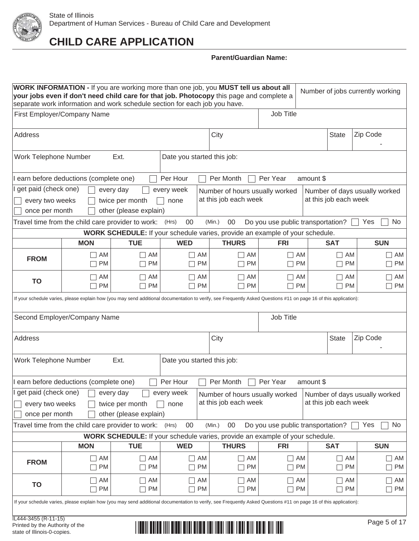

|                                                                                                                    | WORK INFORMATION - If you are working more than one job, you MUST tell us about all<br>Number of jobs currently working<br>your jobs even if don't need child care for that job. Photocopy this page and complete a<br>separate work information and work schedule section for each job you have. |                                                        |                            |                 |                                                                                     |                                           |           |                       |                                                |  |  |  |
|--------------------------------------------------------------------------------------------------------------------|---------------------------------------------------------------------------------------------------------------------------------------------------------------------------------------------------------------------------------------------------------------------------------------------------|--------------------------------------------------------|----------------------------|-----------------|-------------------------------------------------------------------------------------|-------------------------------------------|-----------|-----------------------|------------------------------------------------|--|--|--|
|                                                                                                                    | First Employer/Company Name                                                                                                                                                                                                                                                                       |                                                        |                            |                 |                                                                                     | Job Title                                 |           |                       |                                                |  |  |  |
| Address                                                                                                            |                                                                                                                                                                                                                                                                                                   |                                                        |                            |                 | City                                                                                |                                           |           | <b>State</b>          | Zip Code                                       |  |  |  |
| Work Telephone Number                                                                                              |                                                                                                                                                                                                                                                                                                   | Ext.                                                   | Date you started this job: |                 |                                                                                     |                                           |           |                       |                                                |  |  |  |
| earn before deductions (complete one)<br>Per Hour<br>Per Month<br>Per Year<br>amount \$                            |                                                                                                                                                                                                                                                                                                   |                                                        |                            |                 |                                                                                     |                                           |           |                       |                                                |  |  |  |
| get paid (check one)<br>every week<br>every day<br>Number of hours usually worked<br>Number of days usually worked |                                                                                                                                                                                                                                                                                                   |                                                        |                            |                 |                                                                                     |                                           |           |                       |                                                |  |  |  |
| at this job each week<br>at this job each week<br>twice per month<br>every two weeks<br>none                       |                                                                                                                                                                                                                                                                                                   |                                                        |                            |                 |                                                                                     |                                           |           |                       |                                                |  |  |  |
| once per month<br>other (please explain)                                                                           |                                                                                                                                                                                                                                                                                                   |                                                        |                            |                 |                                                                                     |                                           |           |                       |                                                |  |  |  |
|                                                                                                                    | Travel time from the child care provider to work: (Hrs)                                                                                                                                                                                                                                           |                                                        | 00                         |                 | (Min.)<br>00                                                                        | Do you use public transportation?         |           |                       | Yes<br>No.                                     |  |  |  |
|                                                                                                                    |                                                                                                                                                                                                                                                                                                   |                                                        |                            |                 | WORK SCHEDULE: If your schedule varies, provide an example of your schedule.        |                                           |           |                       |                                                |  |  |  |
|                                                                                                                    | <b>MON</b>                                                                                                                                                                                                                                                                                        | <b>TUE</b>                                             | <b>WED</b>                 |                 | <b>THURS</b>                                                                        | <b>FRI</b>                                |           | <b>SAT</b>            | <b>SUN</b>                                     |  |  |  |
| <b>FROM</b>                                                                                                        | AM<br>PM<br>Г                                                                                                                                                                                                                                                                                     | AM<br><b>PM</b>                                        |                            | AM<br><b>PM</b> | $\Box$ AM<br><b>PM</b>                                                              | AM                                        | <b>PM</b> | AM<br><b>PM</b>       | AM<br>П<br><b>PM</b><br>$\Box$                 |  |  |  |
| TO                                                                                                                 | AM<br><b>PM</b>                                                                                                                                                                                                                                                                                   | AM<br><b>PM</b>                                        |                            | AM<br><b>PM</b> | AM<br><b>PM</b>                                                                     | AM<br><b>PM</b>                           |           | AM<br><b>PM</b>       | AM<br>$\Box$<br><b>PM</b><br>$\vert \ \ \vert$ |  |  |  |
|                                                                                                                    | If your schedule varies, please explain how (you may send additional documentation to verify, see Frequently Asked Questions #11 on page 16 of this application):                                                                                                                                 |                                                        |                            |                 |                                                                                     |                                           |           |                       |                                                |  |  |  |
|                                                                                                                    | Second Employer/Company Name                                                                                                                                                                                                                                                                      |                                                        |                            |                 |                                                                                     | Job Title                                 |           |                       |                                                |  |  |  |
| Address                                                                                                            |                                                                                                                                                                                                                                                                                                   |                                                        |                            |                 | City                                                                                |                                           |           | <b>State</b>          | Zip Code                                       |  |  |  |
| Work Telephone Number                                                                                              |                                                                                                                                                                                                                                                                                                   | Ext.                                                   | Date you started this job: |                 |                                                                                     |                                           |           |                       |                                                |  |  |  |
|                                                                                                                    | I earn before deductions (complete one)                                                                                                                                                                                                                                                           |                                                        | Per Hour                   |                 | Per Month                                                                           | Per Year                                  | amount \$ |                       |                                                |  |  |  |
| get paid (check one)<br>every two weeks<br>once per month                                                          |                                                                                                                                                                                                                                                                                                   | every day<br>twice per month<br>other (please explain) | every week<br>none         |                 | Number of hours usually worked<br>at this job each week                             |                                           |           | at this job each week | Number of days usually worked                  |  |  |  |
|                                                                                                                    | Travel time from the child care provider to work:                                                                                                                                                                                                                                                 |                                                        | 00<br>(Hrs)                |                 | (Min.)<br>00                                                                        | Do you use public transportation?         |           |                       | Yes<br>No                                      |  |  |  |
|                                                                                                                    |                                                                                                                                                                                                                                                                                                   |                                                        |                            |                 | <b>WORK SCHEDULE:</b> If your schedule varies, provide an example of your schedule. |                                           |           |                       |                                                |  |  |  |
|                                                                                                                    | <b>MON</b>                                                                                                                                                                                                                                                                                        | <b>TUE</b>                                             | <b>WED</b>                 |                 | <b>THURS</b>                                                                        | <b>FRI</b>                                |           | <b>SAT</b>            | <b>SUN</b>                                     |  |  |  |
| <b>FROM</b>                                                                                                        | AM<br>$\Box$<br><b>PM</b><br>$\Box$                                                                                                                                                                                                                                                               | AM<br><b>PM</b>                                        |                            | AM<br><b>PM</b> | $\Box$<br>AM<br><b>PM</b><br>$\mathbf{L}$                                           | AM<br>$\mathbf{L}$<br><b>PM</b><br>$\Box$ |           | AM<br><b>PM</b>       | AM<br>$\Box$<br>PM<br>П                        |  |  |  |
| <b>TO</b>                                                                                                          | AM<br>AM<br>AM<br>AM<br>AM<br>AM<br>AM<br>$\mathsf{L}$<br>$\Box$<br>PM<br>PM<br>П<br><b>PM</b><br>PM<br><b>PM</b><br><b>PM</b><br>PM<br>П<br>$\Box$<br>$\blacksquare$                                                                                                                             |                                                        |                            |                 |                                                                                     |                                           |           |                       |                                                |  |  |  |
|                                                                                                                    | If your schedule varies, please explain how (you may send additional documentation to verify, see Frequently Asked Questions #11 on page 16 of this application):                                                                                                                                 |                                                        |                            |                 |                                                                                     |                                           |           |                       |                                                |  |  |  |
| IL444-3455 (R-11-15)<br>Printed by the Authority of the<br>state of Illinois-0-copies.                             |                                                                                                                                                                                                                                                                                                   |                                                        |                            |                 |                                                                                     |                                           |           |                       | Page 5 of 17                                   |  |  |  |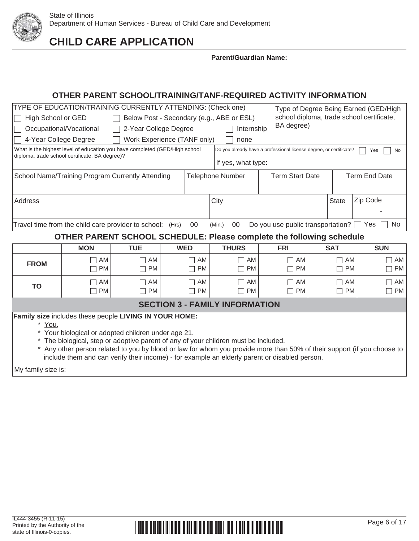

**Parent/Guardian Name:**

# **OTHER PARENT SCHOOL/TRAINING/TANF-REQUIRED ACTIVITY INFORMATION**

| TYPE OF EDUCATION/TRAINING CURRENTLY ATTENDING: (Check one)<br>Type of Degree Being Earned (GED/High<br>school diploma, trade school certificate,<br>High School or GED<br>Below Post - Secondary (e.g., ABE or ESL)<br>BA degree)<br>Occupational/Vocational<br>2-Year College Degree<br>Internship<br>4-Year College Degree<br>Work Experience (TANF only)<br>none<br>What is the highest level of education you have completed (GED/High school<br>Do you already have a professional license degree, or certificate?<br>Yes<br>No<br>diploma, trade school certificate, BA degree)?<br>If yes, what type:<br><b>Term Start Date</b><br><b>Term End Date</b><br>School Name/Training Program Currently Attending<br><b>Telephone Number</b> |            |                                                                      |                 |                                   |                                   |                 |                              |  |  |  |
|------------------------------------------------------------------------------------------------------------------------------------------------------------------------------------------------------------------------------------------------------------------------------------------------------------------------------------------------------------------------------------------------------------------------------------------------------------------------------------------------------------------------------------------------------------------------------------------------------------------------------------------------------------------------------------------------------------------------------------------------|------------|----------------------------------------------------------------------|-----------------|-----------------------------------|-----------------------------------|-----------------|------------------------------|--|--|--|
| Zip Code<br>City<br><b>State</b><br>Address                                                                                                                                                                                                                                                                                                                                                                                                                                                                                                                                                                                                                                                                                                    |            |                                                                      |                 |                                   |                                   |                 |                              |  |  |  |
|                                                                                                                                                                                                                                                                                                                                                                                                                                                                                                                                                                                                                                                                                                                                                |            | Travel time from the child care provider to school: (Hrs)            | $00\,$          | 00<br>(Min.)                      | Do you use public transportation? |                 | No<br>Yes                    |  |  |  |
|                                                                                                                                                                                                                                                                                                                                                                                                                                                                                                                                                                                                                                                                                                                                                |            | OTHER PARENT SCHOOL SCHEDULE: Please complete the following schedule |                 |                                   |                                   |                 |                              |  |  |  |
|                                                                                                                                                                                                                                                                                                                                                                                                                                                                                                                                                                                                                                                                                                                                                | <b>MON</b> | <b>TUE</b>                                                           | <b>WED</b>      | <b>THURS</b>                      | <b>FRI</b>                        | <b>SAT</b>      | <b>SUN</b>                   |  |  |  |
| <b>FROM</b>                                                                                                                                                                                                                                                                                                                                                                                                                                                                                                                                                                                                                                                                                                                                    | AM<br>PM   | AM<br><b>PM</b>                                                      | AM<br><b>PM</b> | $\neg$ AM<br><b>PM</b><br>┓       | AM<br><b>PM</b>                   | AM<br><b>PM</b> | AM<br>П<br>PM<br>П           |  |  |  |
| <b>TO</b>                                                                                                                                                                                                                                                                                                                                                                                                                                                                                                                                                                                                                                                                                                                                      | AM<br>PM   | AM<br><b>PM</b>                                                      | AM<br><b>PM</b> | AM<br>$\cdot$ J<br><b>PM</b><br>٦ | AM<br><b>PM</b>                   | AM<br><b>PM</b> | AM<br>$\Box$<br>PM<br>$\Box$ |  |  |  |
|                                                                                                                                                                                                                                                                                                                                                                                                                                                                                                                                                                                                                                                                                                                                                |            |                                                                      |                 |                                   |                                   |                 |                              |  |  |  |
| <b>SECTION 3 - FAMILY INFORMATION</b><br>Family size includes these people LIVING IN YOUR HOME:<br>*<br>You,<br>* Your biological or adopted children under age 21.<br>The biological, step or adoptive parent of any of your children must be included.<br>Any other person related to you by blood or law for whom you provide more than 50% of their support (if you choose to<br>include them and can verify their income) - for example an elderly parent or disabled person.<br>My family size is:                                                                                                                                                                                                                                       |            |                                                                      |                 |                                   |                                   |                 |                              |  |  |  |
|                                                                                                                                                                                                                                                                                                                                                                                                                                                                                                                                                                                                                                                                                                                                                |            |                                                                      |                 |                                   |                                   |                 |                              |  |  |  |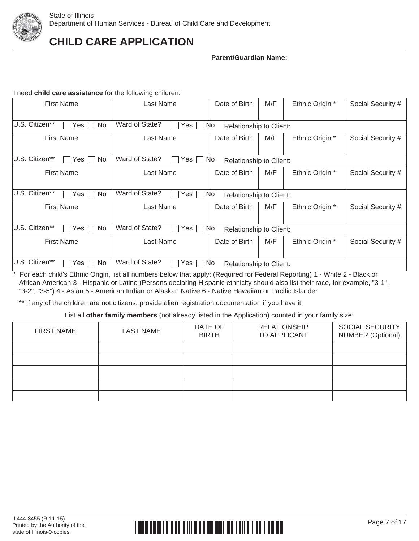

### **Parent/Guardian Name:**

I need **child care assistance** for the following children:

| <b>First Name</b>                               | Last Name             | Date of Birth                  | M/F | Ethnic Origin * | Social Security # |
|-------------------------------------------------|-----------------------|--------------------------------|-----|-----------------|-------------------|
| U.S. Citizen**<br><b>No</b><br>Yes              | Ward of State?<br>Yes | No<br>Relationship to Client:  |     |                 |                   |
| <b>First Name</b>                               | Last Name             | Date of Birth                  | M/F | Ethnic Origin * | Social Security # |
| U.S. Citizen**<br>Yes<br>No.                    | Ward of State?<br>Yes | No.<br>Relationship to Client: |     |                 |                   |
| <b>First Name</b>                               | Last Name             | Date of Birth                  | M/F | Ethnic Origin * | Social Security # |
|                                                 |                       |                                |     |                 |                   |
| U.S. Citizen**<br><b>No</b><br>Yes <sup>'</sup> | Ward of State?<br>Yes | No<br>Relationship to Client:  |     |                 |                   |
| <b>First Name</b>                               | Last Name             | Date of Birth                  | M/F | Ethnic Origin * | Social Security # |
|                                                 |                       |                                |     |                 |                   |
| U.S. Citizen**<br><b>No</b><br>Yes              | Ward of State?<br>Yes | No<br>Relationship to Client:  |     |                 |                   |
| <b>First Name</b>                               | Last Name             | Date of Birth                  | M/F | Ethnic Origin * | Social Security # |
|                                                 |                       |                                |     |                 |                   |
| U.S. Citizen**<br>No.<br>Yes                    | Ward of State?<br>Yes | No.<br>Relationship to Client: |     |                 |                   |

\* For each child's Ethnic Origin, list all numbers below that apply: (Required for Federal Reporting) 1 - White 2 - Black or African American 3 - Hispanic or Latino (Persons declaring Hispanic ethnicity should also list their race, for example, "3-1", "3-2", "3-5") 4 - Asian 5 - American Indian or Alaskan Native 6 - Native Hawaiian or Pacific Islander

\*\* If any of the children are not citizens, provide alien registration documentation if you have it.

List all **other family members** (not already listed in the Application) counted in your family size:

| <b>FIRST NAME</b> | <b>LAST NAME</b> | DATE OF<br><b>BIRTH</b> | <b>RELATIONSHIP</b><br>TO APPLICANT | <b>SOCIAL SECURITY</b><br><b>NUMBER (Optional)</b> |
|-------------------|------------------|-------------------------|-------------------------------------|----------------------------------------------------|
|                   |                  |                         |                                     |                                                    |
|                   |                  |                         |                                     |                                                    |
|                   |                  |                         |                                     |                                                    |
|                   |                  |                         |                                     |                                                    |
|                   |                  |                         |                                     |                                                    |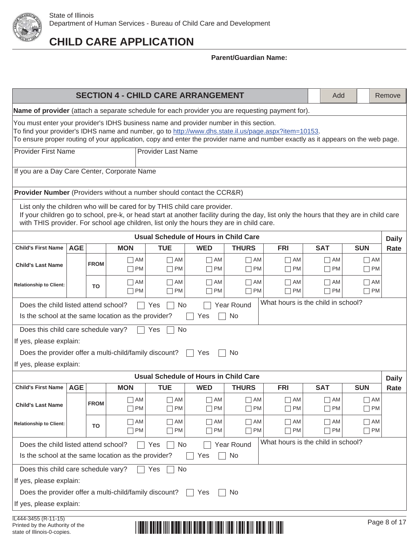

**CHILD CARE APPLICATION**

|                                                                                                                                                                                                                                                                                                                                    |                                                                                                                                                                                                                                                                                                                  |             |                   |                        | <b>SECTION 4 - CHILD CARE ARRANGEMENT</b>    |                        |                                    | Add                    |                        | Remove       |  |  |
|------------------------------------------------------------------------------------------------------------------------------------------------------------------------------------------------------------------------------------------------------------------------------------------------------------------------------------|------------------------------------------------------------------------------------------------------------------------------------------------------------------------------------------------------------------------------------------------------------------------------------------------------------------|-------------|-------------------|------------------------|----------------------------------------------|------------------------|------------------------------------|------------------------|------------------------|--------------|--|--|
| Name of provider (attach a separate schedule for each provider you are requesting payment for).                                                                                                                                                                                                                                    |                                                                                                                                                                                                                                                                                                                  |             |                   |                        |                                              |                        |                                    |                        |                        |              |  |  |
| You must enter your provider's IDHS business name and provider number in this section.<br>To find your provider's IDHS name and number, go to http://www.dhs.state.il.us/page.aspx?item=10153.<br>To ensure proper routing of your application, copy and enter the provider name and number exactly as it appears on the web page. |                                                                                                                                                                                                                                                                                                                  |             |                   |                        |                                              |                        |                                    |                        |                        |              |  |  |
| <b>Provider First Name</b><br><b>Provider Last Name</b>                                                                                                                                                                                                                                                                            |                                                                                                                                                                                                                                                                                                                  |             |                   |                        |                                              |                        |                                    |                        |                        |              |  |  |
|                                                                                                                                                                                                                                                                                                                                    |                                                                                                                                                                                                                                                                                                                  |             |                   |                        |                                              |                        |                                    |                        |                        |              |  |  |
| If you are a Day Care Center, Corporate Name                                                                                                                                                                                                                                                                                       |                                                                                                                                                                                                                                                                                                                  |             |                   |                        |                                              |                        |                                    |                        |                        |              |  |  |
|                                                                                                                                                                                                                                                                                                                                    | <b>Provider Number</b> (Providers without a number should contact the CCR&R)                                                                                                                                                                                                                                     |             |                   |                        |                                              |                        |                                    |                        |                        |              |  |  |
|                                                                                                                                                                                                                                                                                                                                    | List only the children who will be cared for by THIS child care provider.<br>If your children go to school, pre-k, or head start at another facility during the day, list only the hours that they are in child care<br>with THIS provider. For school age children, list only the hours they are in child care. |             |                   |                        |                                              |                        |                                    |                        |                        |              |  |  |
|                                                                                                                                                                                                                                                                                                                                    |                                                                                                                                                                                                                                                                                                                  |             |                   |                        | <b>Usual Schedule of Hours in Child Care</b> |                        |                                    |                        |                        | <b>Daily</b> |  |  |
| <b>Child's First Name</b>                                                                                                                                                                                                                                                                                                          | <b>AGE</b>                                                                                                                                                                                                                                                                                                       |             | <b>MON</b>        | <b>TUE</b>             | <b>WED</b>                                   | <b>THURS</b>           | <b>FRI</b>                         | <b>SAT</b>             | <b>SUN</b>             | Rate         |  |  |
| <b>Child's Last Name</b>                                                                                                                                                                                                                                                                                                           |                                                                                                                                                                                                                                                                                                                  | <b>FROM</b> | $\sqcap$ AM       | ∏ AM                   | $\Box$ AM                                    | $\Box$ AM              | $\Box$ AM                          | $\neg$ AM              | $\Box$ AM              |              |  |  |
|                                                                                                                                                                                                                                                                                                                                    | <b>PM</b><br>$\Box$ PM<br>$\Box$ PM<br><b>PM</b><br>$\Box$ PM<br>$\Box$ PM<br>$\neg$ PM                                                                                                                                                                                                                          |             |                   |                        |                                              |                        |                                    |                        |                        |              |  |  |
| <b>Relationship to Client:</b>                                                                                                                                                                                                                                                                                                     | T AM<br>$\Box$ AM<br>$\Box$ AM<br>AM<br>$\Box$ AM<br>  AM<br>$\Box$ AM<br>TO<br><b>PM</b><br>$\sqcap$ PM<br>$\Box$ PM<br>$\Box$ PM<br>$\Box$ PM<br>$\neg$ PM<br>$\Box$ PM                                                                                                                                        |             |                   |                        |                                              |                        |                                    |                        |                        |              |  |  |
| Does the child listed attend school?                                                                                                                                                                                                                                                                                               |                                                                                                                                                                                                                                                                                                                  |             |                   | No<br>Yes              |                                              | <b>Year Round</b>      | What hours is the child in school? |                        |                        |              |  |  |
| Is the school at the same location as the provider?                                                                                                                                                                                                                                                                                |                                                                                                                                                                                                                                                                                                                  |             |                   |                        | Yes                                          | No                     |                                    |                        |                        |              |  |  |
| Does this child care schedule vary?                                                                                                                                                                                                                                                                                                |                                                                                                                                                                                                                                                                                                                  |             |                   | No<br>Yes              |                                              |                        |                                    |                        |                        |              |  |  |
| If yes, please explain:                                                                                                                                                                                                                                                                                                            |                                                                                                                                                                                                                                                                                                                  |             |                   |                        |                                              |                        |                                    |                        |                        |              |  |  |
| Does the provider offer a multi-child/family discount?                                                                                                                                                                                                                                                                             |                                                                                                                                                                                                                                                                                                                  |             |                   |                        | Yes<br>$\perp$                               | No.                    |                                    |                        |                        |              |  |  |
| If yes, please explain:                                                                                                                                                                                                                                                                                                            |                                                                                                                                                                                                                                                                                                                  |             |                   |                        |                                              |                        |                                    |                        |                        |              |  |  |
|                                                                                                                                                                                                                                                                                                                                    |                                                                                                                                                                                                                                                                                                                  |             |                   |                        | <b>Usual Schedule of Hours in Child Care</b> |                        |                                    |                        |                        | <b>Daily</b> |  |  |
| Child's First Name   AGE                                                                                                                                                                                                                                                                                                           |                                                                                                                                                                                                                                                                                                                  |             | <b>MON</b>        | <b>TUE</b>             | <b>WED</b>                                   | <b>THURS</b>           | <b>FRI</b>                         | <b>SAT</b>             | <b>SUN</b>             | Rate         |  |  |
| <b>Child's Last Name</b>                                                                                                                                                                                                                                                                                                           |                                                                                                                                                                                                                                                                                                                  | <b>FROM</b> | $\sqcap$ AM<br>PM | $\neg$ AM<br><b>PM</b> | $\Box$ AM<br><b>PM</b><br>$\Box$             | $\Box$ AM<br>$\Box$ PM | $\Box$ AM<br>$\Box$ PM             | $\Box$ AM<br>$\Box$ PM | $\Box$ AM<br>$\Box$ PM |              |  |  |
| <b>Relationship to Client:</b>                                                                                                                                                                                                                                                                                                     |                                                                                                                                                                                                                                                                                                                  | TO          | AM<br><b>PM</b>   | ∏ AM<br><b>PM</b>      | $\Box$ AM<br><b>PM</b>                       | $\Box$ AM<br>$\Box$ PM | $\Box$ AM<br><b>PM</b>             | $\neg$ AM<br>$\neg$ PM | $\Box$ AM<br>$\neg$ PM |              |  |  |
|                                                                                                                                                                                                                                                                                                                                    |                                                                                                                                                                                                                                                                                                                  |             |                   |                        |                                              |                        |                                    |                        |                        |              |  |  |
| What hours is the child in school?<br>Year Round<br>Does the child listed attend school?<br>No<br>Yes<br>Is the school at the same location as the provider?<br>No<br>Yes                                                                                                                                                          |                                                                                                                                                                                                                                                                                                                  |             |                   |                        |                                              |                        |                                    |                        |                        |              |  |  |
| Does this child care schedule vary?<br>No<br>Yes                                                                                                                                                                                                                                                                                   |                                                                                                                                                                                                                                                                                                                  |             |                   |                        |                                              |                        |                                    |                        |                        |              |  |  |
| If yes, please explain:                                                                                                                                                                                                                                                                                                            |                                                                                                                                                                                                                                                                                                                  |             |                   |                        |                                              |                        |                                    |                        |                        |              |  |  |
| Does the provider offer a multi-child/family discount?                                                                                                                                                                                                                                                                             |                                                                                                                                                                                                                                                                                                                  |             |                   |                        | Yes                                          | No                     |                                    |                        |                        |              |  |  |
| If yes, please explain:                                                                                                                                                                                                                                                                                                            |                                                                                                                                                                                                                                                                                                                  |             |                   |                        |                                              |                        |                                    |                        |                        |              |  |  |
| IL444-3455 (R-11-15)                                                                                                                                                                                                                                                                                                               |                                                                                                                                                                                                                                                                                                                  |             |                   |                        |                                              |                        |                                    |                        |                        |              |  |  |
| Printed by the Authority of the<br>state of Illinois-0-copies.                                                                                                                                                                                                                                                                     |                                                                                                                                                                                                                                                                                                                  |             |                   |                        |                                              |                        |                                    |                        |                        | Page 8 of 17 |  |  |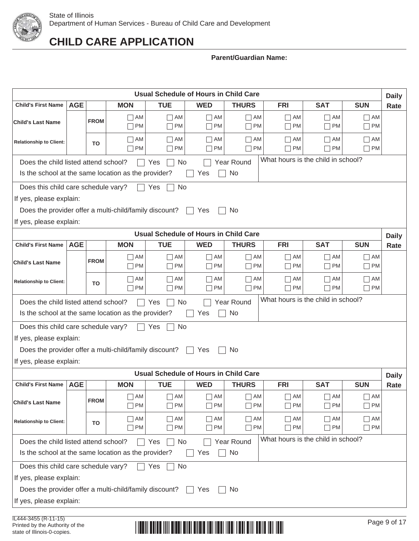

### **Parent/Guardian Name:**

|                                                                                                                                                                                                                                            |            |             |                        |                        | <b>Usual Schedule of Hours in Child Care</b>                 |                         |                                                      |                                    |                           | <b>Daily</b> |
|--------------------------------------------------------------------------------------------------------------------------------------------------------------------------------------------------------------------------------------------|------------|-------------|------------------------|------------------------|--------------------------------------------------------------|-------------------------|------------------------------------------------------|------------------------------------|---------------------------|--------------|
| <b>Child's First Name</b>                                                                                                                                                                                                                  | <b>AGE</b> |             | <b>MON</b>             | <b>TUE</b>             | <b>WED</b>                                                   | <b>THURS</b>            | <b>FRI</b>                                           | <b>SAT</b>                         | <b>SUN</b>                | Rate         |
| <b>Child's Last Name</b>                                                                                                                                                                                                                   |            | <b>FROM</b> | $\Box$ AM<br>$\neg$ PM | $\Box$ AM<br>$\Box$ PM | $\Box$ AM<br>PM<br>$\vert \ \ \vert$                         | $\Box$ AM<br>$\Box$ PM  | $\Box$ AM<br>PM<br>$\blacksquare$                    | $\Box$ AM<br>$\Box$ PM             | $\Box$ AM<br>$\Box$ PM    |              |
| <b>Relationship to Client:</b>                                                                                                                                                                                                             |            | TO          | AM<br><b>PM</b>        | $\Box$ AM<br>PM        | AM<br>$\mathcal{L}_{\mathcal{A}}$<br>PM<br>$\vert \ \ \vert$ | $\neg$ AM<br>$\neg$ PM  | AM<br>$\overline{\phantom{a}}$<br><b>PM</b>          | $\Box$ AM<br><b>PM</b>             | $\Box$ AM<br>$\Box$ PM    |              |
| Does the child listed attend school?<br>Is the school at the same location as the provider?                                                                                                                                                |            |             |                        | No<br>Yes              | Yes                                                          | Year Round<br>No        |                                                      | What hours is the child in school? |                           |              |
| Does this child care schedule vary?                                                                                                                                                                                                        |            |             |                        | <b>No</b><br>Yes       |                                                              |                         |                                                      |                                    |                           |              |
| If yes, please explain:                                                                                                                                                                                                                    |            |             |                        |                        |                                                              |                         |                                                      |                                    |                           |              |
| Does the provider offer a multi-child/family discount?                                                                                                                                                                                     |            |             |                        |                        | Yes                                                          | No.                     |                                                      |                                    |                           |              |
| If yes, please explain:                                                                                                                                                                                                                    |            |             |                        |                        |                                                              |                         |                                                      |                                    |                           |              |
|                                                                                                                                                                                                                                            |            |             |                        |                        | <b>Usual Schedule of Hours in Child Care</b>                 |                         |                                                      |                                    |                           | <b>Daily</b> |
| <b>Child's First Name</b>                                                                                                                                                                                                                  | <b>AGE</b> |             | <b>MON</b>             | <b>TUE</b>             | <b>WED</b>                                                   | <b>THURS</b>            | <b>FRI</b>                                           | <b>SAT</b>                         | <b>SUN</b>                | Rate         |
| <b>Child's Last Name</b>                                                                                                                                                                                                                   |            | <b>FROM</b> | $\Box$ AM<br>$\Box$ PM | $\Box$ AM<br>$\Box$ PM | $\Box$ AM<br>PM<br>П                                         | $\Box$ AM<br>$\Box$ PM  | $\Box$ AM<br>PM<br>$\blacksquare$                    | $\Box$ AM<br>$\hfill\Box$<br>PM    | $\Box$ AM<br>$\Box$ PM    |              |
| $\neg$ AM<br>$\Box$ am<br>AM<br>$\neg$ AM<br>$\Box$ AM<br>$\Box$ AM<br>$\Box$ AM<br>$\mathsf{L}$<br><b>Relationship to Client:</b><br>TO<br><b>PM</b><br>$\Box$ PM<br>PM<br>$\Box$ PM<br>$\Box$ PM<br>$\Box$ PM<br>PM<br>П<br>$\mathbf{I}$ |            |             |                        |                        |                                                              |                         |                                                      |                                    |                           |              |
| Does the child listed attend school?<br>Is the school at the same location as the provider?                                                                                                                                                |            |             |                        | Yes<br>No              | Yes                                                          | <b>Year Round</b><br>No |                                                      | What hours is the child in school? |                           |              |
| Does this child care schedule vary?                                                                                                                                                                                                        |            |             |                        | No<br>Yes              |                                                              |                         |                                                      |                                    |                           |              |
| If yes, please explain:                                                                                                                                                                                                                    |            |             |                        |                        |                                                              |                         |                                                      |                                    |                           |              |
| Does the provider offer a multi-child/family discount?                                                                                                                                                                                     |            |             |                        |                        | Yes                                                          | No                      |                                                      |                                    |                           |              |
| If yes, please explain:                                                                                                                                                                                                                    |            |             |                        |                        |                                                              |                         |                                                      |                                    |                           |              |
|                                                                                                                                                                                                                                            |            |             |                        |                        | Usual Schedule of Hours in Child Care                        |                         |                                                      |                                    |                           | <b>Daily</b> |
| <b>Child's First Name</b>                                                                                                                                                                                                                  | <b>AGE</b> |             | <b>MON</b>             | <b>TUE</b>             | <b>WED</b>                                                   | <b>THURS</b>            | <b>FRI</b>                                           | <b>SAT</b>                         | <b>SUN</b>                | Rate         |
| <b>Child's Last Name</b>                                                                                                                                                                                                                   |            | <b>FROM</b> | AM<br><b>PM</b>        | AM<br><b>PM</b>        | AM<br><b>PM</b>                                              | AM<br>$\neg$ PM         | AM<br>$\mathcal{L}$<br><b>PM</b>                     | $\Box$ AM<br>$\Box$ PM             | AM<br>П<br>П<br><b>PM</b> |              |
| <b>Relationship to Client:</b>                                                                                                                                                                                                             |            | TO          | AM<br>PM               | $\Box$ AM<br>$\Box$ PM | AM<br>$\vert \ \ \vert$<br>PM<br>$\vert \ \ \vert$           | $\neg$ AM<br>$\Box$ PM  | AM<br>$\overline{\phantom{a}}$<br>PM<br>$\mathbf{I}$ | $\Box$ AM<br>$\Box$ PM             | $\Box$ AM<br>$\Box$ PM    |              |
| Does the child listed attend school?                                                                                                                                                                                                       |            |             |                        | Yes<br>No              |                                                              | Year Round              |                                                      | What hours is the child in school? |                           |              |
| Is the school at the same location as the provider?                                                                                                                                                                                        |            |             |                        |                        | Yes                                                          | No                      |                                                      |                                    |                           |              |
| Does this child care schedule vary?                                                                                                                                                                                                        |            |             |                        | <b>No</b><br>Yes       |                                                              |                         |                                                      |                                    |                           |              |
| If yes, please explain:                                                                                                                                                                                                                    |            |             |                        |                        |                                                              |                         |                                                      |                                    |                           |              |
| Does the provider offer a multi-child/family discount?<br>Yes<br>No                                                                                                                                                                        |            |             |                        |                        |                                                              |                         |                                                      |                                    |                           |              |
| If yes, please explain:                                                                                                                                                                                                                    |            |             |                        |                        |                                                              |                         |                                                      |                                    |                           |              |
|                                                                                                                                                                                                                                            |            |             |                        |                        |                                                              |                         |                                                      |                                    |                           |              |

# Page 9 of 17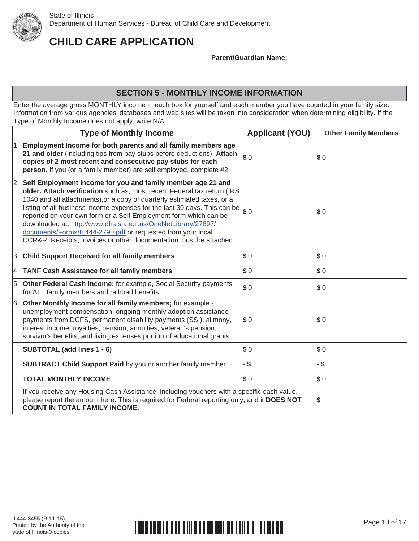

**Parent/Guardian Name:**

## **SECTION 5 - MONTHLY INCOME INFORMATION**

Enter the average gross MONTHLY income in each box for yourself and each member you have counted in your family size. Information from various agencies' databases and web sites will be taken into consideration when determining eligibility. If the Type of Monthly Income does not apply, write N/A.

| <b>Type of Monthly Income</b>                                                                                                                                                                                                                                                                                                                                                                                                                                                                                                                                                | <b>Applicant (YOU)</b>      | <b>Other Family Members</b> |
|------------------------------------------------------------------------------------------------------------------------------------------------------------------------------------------------------------------------------------------------------------------------------------------------------------------------------------------------------------------------------------------------------------------------------------------------------------------------------------------------------------------------------------------------------------------------------|-----------------------------|-----------------------------|
| 1. Employment Income for both parents and all family members age<br>21 and older (including tips from pay stubs before deductions). Attach<br>copies of 2 most recent and consecutive pay stubs for each<br>person. If you (or a family member) are self employed, complete #2.                                                                                                                                                                                                                                                                                              | $s_{0}$                     | $\boldsymbol{\$0}$          |
| 2. Self Employment Income for you and family member age 21 and<br>older. Attach verification such as, most recent Federal tax return (IRS<br>1040 and all attachments), or a copy of quarterly estimated taxes, or a<br>listing of all business income expenses for the last 30 days. This can be<br>reported on your own form or a Self Employment form which can be<br>downloaded at: http://www.dhs.state.il.us/OneNetLibrary/27897/<br>documents/Forms/IL444-2790.pdf or requested from your local<br>CCR&R. Receipts, invoices or other documentation must be attached. | s <sub>0</sub>              | $\boldsymbol{\mathsf{s}}$ 0 |
| 3. Child Support Received for all family members                                                                                                                                                                                                                                                                                                                                                                                                                                                                                                                             | \$0                         | $\boldsymbol{\$0}$          |
| 4. TANF Cash Assistance for all family members                                                                                                                                                                                                                                                                                                                                                                                                                                                                                                                               | \$0                         | $\boldsymbol{\$0}$          |
| 5. Other Federal Cash Income: for example, Social Security payments<br>for ALL family members and railroad benefits.                                                                                                                                                                                                                                                                                                                                                                                                                                                         | $s_{0}$                     | \$0                         |
| 6. Other Monthly Income for all family members; for example -<br>unemployment compensation, ongoing monthly adoption assistance<br>payments from DCFS, permanent disability payments (SSI), alimony,<br>interest income, royalties, pension, annuities, veteran's pension,<br>survivor's benefits, and living expenses portion of educational grants.                                                                                                                                                                                                                        | $\boldsymbol{\mathsf{s}}$ 0 | $\boldsymbol{\mathsf{s}}$ 0 |
| SUBTOTAL (add lines 1 - 6)                                                                                                                                                                                                                                                                                                                                                                                                                                                                                                                                                   | $s_{0}$                     | s <sub>0</sub>              |
| <b>SUBTRACT Child Support Paid by you or another family member</b>                                                                                                                                                                                                                                                                                                                                                                                                                                                                                                           | $\cdot$ \$                  | - \$                        |
| <b>TOTAL MONTHLY INCOME</b>                                                                                                                                                                                                                                                                                                                                                                                                                                                                                                                                                  | \$0                         | \$0                         |
| If you receive any Housing Cash Assistance, including vouchers with a specific cash value,<br>please report the amount here. This is required for Federal reporting only, and it DOES NOT<br><b>COUNT IN TOTAL FAMILY INCOME.</b>                                                                                                                                                                                                                                                                                                                                            |                             | \$                          |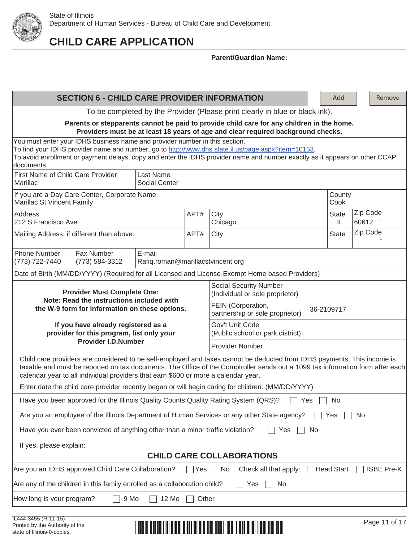

|                                                                                                                                                                               | <b>SECTION 6 - CHILD CARE PROVIDER INFORMATION</b>                                                                                                                                                                                                                                                               |                                             |       |                                                                                                                                                                                                                                                          |                |                   |  |  |  |  |
|-------------------------------------------------------------------------------------------------------------------------------------------------------------------------------|------------------------------------------------------------------------------------------------------------------------------------------------------------------------------------------------------------------------------------------------------------------------------------------------------------------|---------------------------------------------|-------|----------------------------------------------------------------------------------------------------------------------------------------------------------------------------------------------------------------------------------------------------------|----------------|-------------------|--|--|--|--|
|                                                                                                                                                                               | To be completed by the Provider (Please print clearly in blue or black ink).                                                                                                                                                                                                                                     |                                             |       |                                                                                                                                                                                                                                                          |                |                   |  |  |  |  |
| Parents or stepparents cannot be paid to provide child care for any children in the home.<br>Providers must be at least 18 years of age and clear required background checks. |                                                                                                                                                                                                                                                                                                                  |                                             |       |                                                                                                                                                                                                                                                          |                |                   |  |  |  |  |
| documents.                                                                                                                                                                    | You must enter your IDHS business name and provider number in this section.<br>To find your IDHS provider name and number, go to http://www.dhs.state.il.us/page.aspx?item=10153.<br>To avoid enrollment or payment delays, copy and enter the IDHS provider name and number exactly as it appears on other CCAP |                                             |       |                                                                                                                                                                                                                                                          |                |                   |  |  |  |  |
| First Name of Child Care Provider<br>Last Name<br>Marillac<br><b>Social Center</b>                                                                                            |                                                                                                                                                                                                                                                                                                                  |                                             |       |                                                                                                                                                                                                                                                          |                |                   |  |  |  |  |
| Marillac St Vincent Family                                                                                                                                                    | If you are a Day Care Center, Corporate Name                                                                                                                                                                                                                                                                     |                                             |       |                                                                                                                                                                                                                                                          | County<br>Cook |                   |  |  |  |  |
| <b>Address</b><br>212 S Francisco Ave                                                                                                                                         |                                                                                                                                                                                                                                                                                                                  |                                             | APT#  | City<br>Chicago                                                                                                                                                                                                                                          | State<br>IL.   | Zip Code<br>60612 |  |  |  |  |
|                                                                                                                                                                               | Mailing Address, if different than above:                                                                                                                                                                                                                                                                        |                                             | APT#  | City                                                                                                                                                                                                                                                     | <b>State</b>   | Zip Code          |  |  |  |  |
| <b>Phone Number</b><br>(773) 722-7440                                                                                                                                         | Fax Number<br>(773) 584-3312                                                                                                                                                                                                                                                                                     | E-mail<br>Rafiq.roman@marillacstvincent.org |       |                                                                                                                                                                                                                                                          |                |                   |  |  |  |  |
|                                                                                                                                                                               |                                                                                                                                                                                                                                                                                                                  |                                             |       | Date of Birth (MM/DD/YYYY) (Required for all Licensed and License-Exempt Home based Providers)                                                                                                                                                           |                |                   |  |  |  |  |
|                                                                                                                                                                               | <b>Provider Must Complete One:</b>                                                                                                                                                                                                                                                                               |                                             |       | <b>Social Security Number</b><br>(Individual or sole proprietor)                                                                                                                                                                                         |                |                   |  |  |  |  |
|                                                                                                                                                                               | Note: Read the instructions included with<br>the W-9 form for information on these options.                                                                                                                                                                                                                      |                                             |       | FEIN (Corporation,<br>partnership or sole proprietor)                                                                                                                                                                                                    | 36-2109717     |                   |  |  |  |  |
|                                                                                                                                                                               | If you have already registered as a<br>provider for this program, list only your                                                                                                                                                                                                                                 |                                             |       | Gov't Unit Code<br>(Public school or park district)                                                                                                                                                                                                      |                |                   |  |  |  |  |
|                                                                                                                                                                               | <b>Provider I.D.Number</b>                                                                                                                                                                                                                                                                                       |                                             |       | <b>Provider Number</b>                                                                                                                                                                                                                                   |                |                   |  |  |  |  |
|                                                                                                                                                                               | calendar year to all individual providers that earn \$600 or more a calendar year.                                                                                                                                                                                                                               |                                             |       | Child care providers are considered to be self-employed and taxes cannot be deducted from IDHS payments. This income is<br>taxable and must be reported on tax documents. The Office of the Comptroller sends out a 1099 tax information form after each |                |                   |  |  |  |  |
|                                                                                                                                                                               |                                                                                                                                                                                                                                                                                                                  |                                             |       | Enter date the child care provider recently began or will begin caring for children: (MM/DD/YYYY)                                                                                                                                                        |                |                   |  |  |  |  |
|                                                                                                                                                                               |                                                                                                                                                                                                                                                                                                                  |                                             |       | Have you been approved for the Illinois Quality Counts Quality Rating System (QRS)?<br>Yes                                                                                                                                                               | No             |                   |  |  |  |  |
|                                                                                                                                                                               |                                                                                                                                                                                                                                                                                                                  |                                             |       | Are you an employee of the Illinois Department of Human Services or any other State agency?                                                                                                                                                              | Yes            | No                |  |  |  |  |
|                                                                                                                                                                               | Have you ever been convicted of anything other than a minor traffic violation?                                                                                                                                                                                                                                   |                                             |       | Yes<br>No                                                                                                                                                                                                                                                |                |                   |  |  |  |  |
|                                                                                                                                                                               | If yes, please explain:                                                                                                                                                                                                                                                                                          |                                             |       |                                                                                                                                                                                                                                                          |                |                   |  |  |  |  |
| <b>CHILD CARE COLLABORATIONS</b>                                                                                                                                              |                                                                                                                                                                                                                                                                                                                  |                                             |       |                                                                                                                                                                                                                                                          |                |                   |  |  |  |  |
| Are you an IDHS approved Child Care Collaboration?<br>Yes $\Box$ No<br>Check all that apply:<br>Head Start<br><b>ISBE Pre-K</b>                                               |                                                                                                                                                                                                                                                                                                                  |                                             |       |                                                                                                                                                                                                                                                          |                |                   |  |  |  |  |
| Are any of the children in this family enrolled as a collaboration child?<br>Yes<br>No                                                                                        |                                                                                                                                                                                                                                                                                                                  |                                             |       |                                                                                                                                                                                                                                                          |                |                   |  |  |  |  |
| How long is your program?                                                                                                                                                     | 9 Mo                                                                                                                                                                                                                                                                                                             | 12 Mo                                       | Other |                                                                                                                                                                                                                                                          |                |                   |  |  |  |  |
|                                                                                                                                                                               |                                                                                                                                                                                                                                                                                                                  |                                             |       |                                                                                                                                                                                                                                                          |                |                   |  |  |  |  |

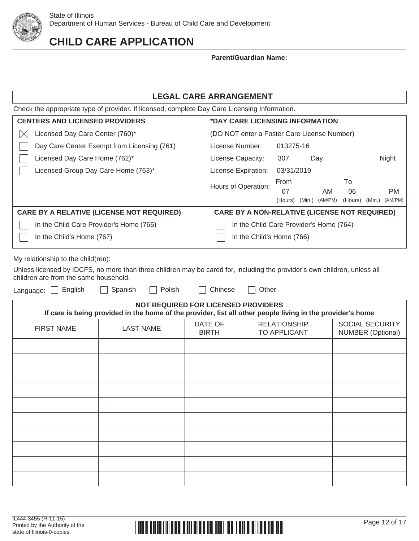

### **Parent/Guardian Name:**

| <b>LEGAL CARE ARRANGEMENT</b>                                                                 |                                                      |            |                   |         |                   |  |  |  |  |  |
|-----------------------------------------------------------------------------------------------|------------------------------------------------------|------------|-------------------|---------|-------------------|--|--|--|--|--|
| Check the appropriate type of provider. If licensed, complete Day Care Licensing Information. |                                                      |            |                   |         |                   |  |  |  |  |  |
| <b>CENTERS AND LICENSED PROVIDERS</b><br>*DAY CARE LICENSING INFORMATION                      |                                                      |            |                   |         |                   |  |  |  |  |  |
| Licensed Day Care Center (760)*<br>(DO NOT enter a Foster Care License Number)<br>Х           |                                                      |            |                   |         |                   |  |  |  |  |  |
| Day Care Center Exempt from Licensing (761)                                                   | License Number:                                      | 013275-16  |                   |         |                   |  |  |  |  |  |
| Licensed Day Care Home (762)*                                                                 | License Capacity:                                    | 307        | Day               |         | Night             |  |  |  |  |  |
| Licensed Group Day Care Home (763)*                                                           | License Expiration:                                  | 03/31/2019 |                   |         |                   |  |  |  |  |  |
|                                                                                               | Hours of Operation:                                  | From       |                   | To      |                   |  |  |  |  |  |
|                                                                                               |                                                      | 07         | AM                | 06      | <b>PM</b>         |  |  |  |  |  |
|                                                                                               |                                                      | (Hours)    | (Min.)<br>(AM/PM) | (Hours) | (Min.)<br>(AM/PM) |  |  |  |  |  |
| <b>CARE BY A RELATIVE (LICENSE NOT REQUIRED)</b>                                              | <b>CARE BY A NON-RELATIVE (LICENSE NOT REQUIRED)</b> |            |                   |         |                   |  |  |  |  |  |
| In the Child Care Provider's Home (765)<br>In the Child Care Provider's Home (764)            |                                                      |            |                   |         |                   |  |  |  |  |  |
| In the Child's Home (767)<br>In the Child's Home (766)                                        |                                                      |            |                   |         |                   |  |  |  |  |  |
|                                                                                               |                                                      |            |                   |         |                   |  |  |  |  |  |

My relationship to the child(ren):

Unless licensed by IDCFS, no more than three children may be cared for, including the provider's own children, unless all children are from the same household.

Language: **English** G Spanish **C** Polish Chinese C Other

| <b>NOT REQUIRED FOR LICENSED PROVIDERS</b><br>If care is being provided in the home of the provider, list all other people living in the provider's home |                  |                         |                                     |                                             |  |  |
|----------------------------------------------------------------------------------------------------------------------------------------------------------|------------------|-------------------------|-------------------------------------|---------------------------------------------|--|--|
| <b>FIRST NAME</b>                                                                                                                                        | <b>LAST NAME</b> | DATE OF<br><b>BIRTH</b> | <b>RELATIONSHIP</b><br>TO APPLICANT | SOCIAL SECURITY<br><b>NUMBER (Optional)</b> |  |  |
|                                                                                                                                                          |                  |                         |                                     |                                             |  |  |
|                                                                                                                                                          |                  |                         |                                     |                                             |  |  |
|                                                                                                                                                          |                  |                         |                                     |                                             |  |  |
|                                                                                                                                                          |                  |                         |                                     |                                             |  |  |
|                                                                                                                                                          |                  |                         |                                     |                                             |  |  |
|                                                                                                                                                          |                  |                         |                                     |                                             |  |  |
|                                                                                                                                                          |                  |                         |                                     |                                             |  |  |
|                                                                                                                                                          |                  |                         |                                     |                                             |  |  |
|                                                                                                                                                          |                  |                         |                                     |                                             |  |  |
|                                                                                                                                                          |                  |                         |                                     |                                             |  |  |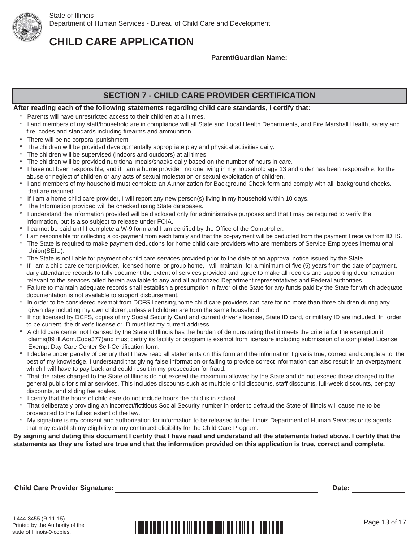

### **Parent/Guardian Name:**

## **SECTION 7 - CHILD CARE PROVIDER CERTIFICATION**

### **After reading each of the following statements regarding child care standards, I certify that:**

- \* Parents will have unrestricted access to their children at all times.
- \* I and members of my staff/household are in compliance will all State and Local Health Departments, and Fire Marshall Health, safety and fire codes and standards including firearms and ammunition.
- There will be no corporal punishment.
- The children will be provided developmentally appropriate play and physical activities daily.
- The children will be supervised (indoors and outdoors) at all times.
- The children will be provided nutritional meals/snacks daily based on the number of hours in care.
- I have not been responsible, and if I am a home provider, no one living in my household age 13 and older has been responsible, for the abuse or neglect of children or any acts of sexual molestation or sexual exploitation of children.
- I and members of my household must complete an Authorization for Background Check form and comply with all background checks. that are required.
- If I am a home child care provider, I will report any new person(s) living in my household within 10 days.
- The Information provided will be checked using State databases.
- I understand the information provided will be disclosed only for administrative purposes and that I may be required to verify the information, but is also subject to release under FOIA.
- I cannot be paid until I complete a W-9 form and I am certified by the Office of the Comptroller.
- I am responsible for collecting a co-payment from each family and that the co-payment will be deducted from the payment I receive from IDHS.
- The State is required to make payment deductions for home child care providers who are members of Service Employees international Union(SEIU).
- \* The State is not liable for payment of child care services provided prior to the date of an approval notice issued by the State.
- If I am a child care center provider, licensed home, or group home, I will maintain, for a minimum of five (5) years from the date of payment, daily attendance records to fully document the extent of services provided and agree to make all records and supporting documentation relevant to the services billed herein available to any and all authorized Department representatives and Federal authorities.
- Failure to maintain adequate records shall establish a presumption in favor of the State for any funds paid by the State for which adequate documentation is not available to support disbursement.
- In order to be considered exempt from DCFS licensing,home child care providers can care for no more than three children during any given day including my own children,unless all children are from the same household.
- If not licensed by DCFS, copies of my Social Security Card and current driver's license, State ID card, or military ID are included. In order to be current, the driver's license or ID must list my current address.
- A child care center not licensed by the State of Illinois has the burden of demonstrating that it meets the criteria for the exemption it claims(89 ill.Adm.Code377)and must certify its facility or program is exempt from licensure including submission of a completed License Exempt Day Care Center Self-Certification form.
- I declare under penalty of perjury that I have read all statements on this form and the information I give is true, correct and complete to the best of my knowledge. I understand that giving false information or failing to provide correct information can also result in an overpayment which I will have to pay back and could result in my prosecution for fraud.
- That the rates charged to the State of Illinois do not exceed the maximum allowed by the State and do not exceed those charged to the general public for similar services. This includes discounts such as multiple child discounts, staff discounts, full-week discounts, per-pay discounts, and sliding fee scales.
- \* I certify that the hours of child care do not include hours the child is in school.<br>\* That deliberately providing an incorrect/fictitious Social Security pumber in error
- That deliberately providing an incorrect/fictitious Social Security number in order to defraud the State of Illinois will cause me to be prosecuted to the fullest extent of the law.
- My signature is my consent and authorization for information to be released to the Illinois Department of Human Services or its agents that may establish my eligibility or my continued eligibility for the Child Care Program.

**By signing and dating this document I certify that I have read and understand all the statements listed above. I certify that the statements as they are listed are true and that the information provided on this application is true, correct and complete.** 

### **Child Care Provider Signature: Date:**

IL444-3455 (R-11-15) Printed by the Authority of the state of Illinois-0-copies.

#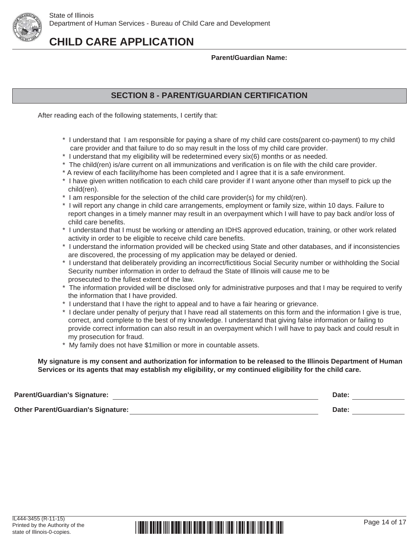

### **Parent/Guardian Name:**

## **SECTION 8 - PARENT/GUARDIAN CERTIFICATION**

After reading each of the following statements, I certify that:

- \* I understand that I am responsible for paying a share of my child care costs(parent co-payment) to my child care provider and that failure to do so may result in the loss of my child care provider.
- \* I understand that my eligibility will be redetermined every six(6) months or as needed.
- \* The child(ren) is/are current on all immunizations and verification is on file with the child care provider.
- \* A review of each facility/home has been completed and I agree that it is a safe environment. \* I have given written notification to each child care provider if I want anyone other than myself to pick up the child(ren).
- \* I am responsible for the selection of the child care provider(s) for my child(ren).
- \* I will report any change in child care arrangements, employment or family size, within 10 days. Failure to report changes in a timely manner may result in an overpayment which I will have to pay back and/or loss of child care benefits.
- \* I understand that I must be working or attending an IDHS approved education, training, or other work related activity in order to be eligible to receive child care benefits.
- \* I understand the information provided will be checked using State and other databases, and if inconsistencies are discovered, the processing of my application may be delayed or denied.
- \* I understand that deliberately providing an incorrect/fictitious Social Security number or withholding the Social Security number information in order to defraud the State of Illinois will cause me to be prosecuted to the fullest extent of the law.
- \* The information provided will be disclosed only for administrative purposes and that I may be required to verify the information that I have provided.
- \* I understand that I have the right to appeal and to have a fair hearing or grievance.
- \* I declare under penalty of perjury that I have read all statements on this form and the information I give is true, correct, and complete to the best of my knowledge. I understand that giving false information or failing to provide correct information can also result in an overpayment which I will have to pay back and could result in my prosecution for fraud.
- \* My family does not have \$1million or more in countable assets.

 **My signature is my consent and authorization for information to be released to the Illinois Department of Human Services or its agents that may establish my eligibility, or my continued eligibility for the child care.** 

| <b>Parent/Guardian's Signature:</b>       | Date: |  |
|-------------------------------------------|-------|--|
| <b>Other Parent/Guardian's Signature:</b> | Date: |  |

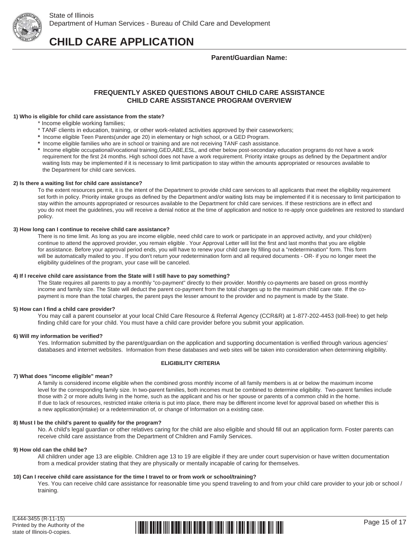

State of Illinois Department of Human Services - Bureau of Child Care and Development

**CHILD CARE APPLICATION**

**Parent/Guardian Name:**

### **FREQUENTLY ASKED QUESTIONS ABOUT CHILD CARE ASSISTANCE CHILD CARE ASSISTANCE PROGRAM OVERVIEW**

#### **1) Who is eligible for child care assistance from the state?**

- \* Income eligible working families;
- \* TANF clients in education, training, or other work-related activities approved by their caseworkers;
- **\*** Income eligible Teen Parents(under age 20) in elementary or high school, or a GED Program.
- **\*** Income eligible families who are in school or training and are not receiving TANF cash assistance.
- **\*** Income eligible occupational/vocational training,GED,ABE,ESL, and other below post-secondary education programs do not have a work requirement for the first 24 months. High school does not have a work requirement. Priority intake groups as defined by the Department and/or waiting lists may be implemented if it is necessary to limit participation to stay within the amounts appropriated or resources available to the Department for child care services.

#### **2) Is there a waiting list for child care assistance?**

To the extent resources permit, it is the intent of the Department to provide child care services to all applicants that meet the eligibility requirement set forth in policy. Priority intake groups as defined by the Department and/or waiting lists may be implemented if it is necessary to limit participation to stay within the amounts appropriated or resources available to the Department for child care services. If these restrictions are in effect and you do not meet the guidelines, you will receive a denial notice at the time of application and notice to re-apply once guidelines are restored to standard policy.

#### **3) How long can I continue to receive child care assistance?**

There is no time limit. As long as you are income eligible, need child care to work or participate in an approved activity, and your child(ren) continue to attend the approved provider, you remain eligible . Your Approval Letter will list the first and last months that you are eligible for assistance. Before your approval period ends, you will have to renew your child care by filling out a "redetermination" form. This form will be automatically mailed to you . If you don't return your redetermination form and all required documents - OR- if you no longer meet the eligibility guidelines of the program, your case will be canceled.

#### **4) If I receive child care assistance from the State will I still have to pay something?**

The State requires all parents to pay a monthly "co-payment" directly to their provider. Monthly co-payments are based on gross monthly income and family size. The State will deduct the parent co-payment from the total charges up to the maximum child care rate. If the co payment is more than the total charges, the parent pays the lesser amount to the provider and no payment is made by the State.

#### **5) How can I find a child care provider?**

 You may call a parent counselor at your local Child Care Resource & Referral Agency (CCR&R) at 1-877-202-4453 (toll-free) to get help finding child care for your child. You must have a child care provider before you submit your application.

#### **6) Will my information be verified?**

 Yes. Information submitted by the parent/guardian on the application and supporting documentation is verified through various agencies' databases and internet websites. Information from these databases and web sites will be taken into consideration when determining eligibility.

#### **ELIGIBILITY CRITERIA**

#### **7) What does "income eligible" mean?**

A family is considered income eligible when the combined gross monthly income of all family members is at or below the maximum income level for the corresponding family size. In two-parent families, both incomes must be combined to determine eligibility. Two-parent families include those with 2 or more adults living in the home, such as the applicant and his or her spouse or parents of a common child in the home. If due to lack of resources, restricted intake criteria is put into place, there may be different income level for approval based on whether this is a new application(intake) or a redetermination of, or change of Information on a existing case.

#### **8) Must I be the child's parent to qualify for the program?**

 No. A child's legal guardian or other relatives caring for the child are also eligible and should fill out an application form. Foster parents can receive child care assistance from the Department of Children and Family Services.

#### **9) How old can the child be?**

 All children under age 13 are eligible. Children age 13 to 19 are eligible if they are under court supervision or have written documentation from a medical provider stating that they are physically or mentally incapable of caring for themselves.

#### **10) Can I receive child care assistance for the time I travel to or from work or school/training?**

Yes. You can receive child care assistance for reasonable time you spend traveling to and from your child care provider to your job or school / training.

IL444-3455 (R-11-15) Printed by the Authority of the state of Illinois-0-copies.

# <u> | ISBN 88158 IIII 8150 BIISI 81616 III 1150 IISBN 1150 BIISI 1150 BIII 1501</u>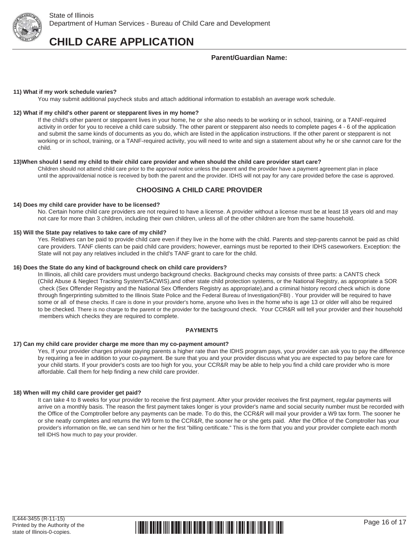

### **Parent/Guardian Name:**

#### **11) What if my work schedule varies?**

You may submit additional paycheck stubs and attach additional information to establish an average work schedule.

#### **12) What if my child's other parent or stepparent lives in my home?**

 If the child's other parent or stepparent lives in your home, he or she also needs to be working or in school, training, or a TANF-required activity in order for you to receive a child care subsidy. The other parent or stepparent also needs to complete pages 4 - 6 of the application and submit the same kinds of documents as you do, which are listed in the application instructions. If the other parent or stepparent is not working or in school, training, or a TANF-required activity, you will need to write and sign a statement about why he or she cannot care for the child.

#### **13)When should I send my child to their child care provider and when should the child care provider start care?**

Children should not attend child care prior to the approval notice unless the parent and the provider have a payment agreement plan in place until the approval/denial notice is received by both the parent and the provider. IDHS will not pay for any care provided before the case is approved.

### **CHOOSING A CHILD CARE PROVIDER**

#### **14) Does my child care provider have to be licensed?**

 No. Certain home child care providers are not required to have a license. A provider without a license must be at least 18 years old and may not care for more than 3 children, including their own children, unless all of the other children are from the same household.

#### **15) Will the State pay relatives to take care of my child?**

 Yes. Relatives can be paid to provide child care even if they live in the home with the child. Parents and step-parents cannot be paid as child care providers. TANF clients can be paid child care providers; however, earnings must be reported to their IDHS caseworkers. Exception: the State will not pay any relatives included in the child's TANF grant to care for the child.

#### **16) Does the State do any kind of background check on child care providers?**

 In Illinois, all child care providers must undergo background checks. Background checks may consists of three parts: a CANTS check (Child Abuse & Neglect Tracking System/SACWIS),and other state child protection systems, or the National Registry, as appropriate a SOR check (Sex Offender Registry and the National Sex Offenders Registry as appropriate),and a criminal history record check which is done through fingerprinting submitted to the Illinois State Police and the Federal Bureau of Investigation(FBI) . Your provider will be required to have some or all of these checks. If care is done in your provider's home, anyone who lives in the home who is age 13 or older will also be required to be checked. There is no charge to the parent or the provider for the background check. Your CCR&R will tell your provider and their household members which checks they are required to complete.

#### **PAYMENTS**

#### **17) Can my child care provider charge me more than my co-payment amount?**

 Yes, If your provider charges private paying parents a higher rate than the IDHS program pays, your provider can ask you to pay the difference by requiring a fee in addition to your co-payment. Be sure that you and your provider discuss what you are expected to pay before care for your child starts. If your provider's costs are too high for you, your CCR&R may be able to help you find a child care provider who is more affordable. Call them for help finding a new child care provider.

#### **18) When will my child care provider get paid?**

 It can take 4 to 8 weeks for your provider to receive the first payment. After your provider receives the first payment, regular payments will arrive on a monthly basis. The reason the first payment takes longer is your provider's name and social security number must be recorded with the Office of the Comptroller before any payments can be made. To do this, the CCR&R will mail your provider a W9 tax form. The sooner he or she neatly completes and returns the W9 form to the CCR&R, the sooner he or she gets paid. After the Office of the Comptroller has your provider's information on file, we can send him or her the first "billing certificate." This is the form that you and your provider complete each month tell IDHS how much to pay your provider.

#